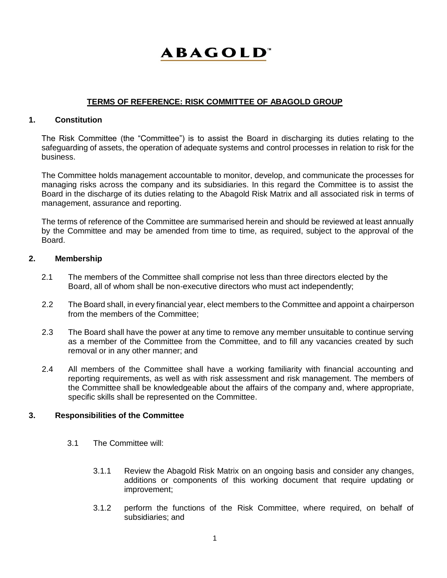# **ABAGOLD**

# **TERMS OF REFERENCE: RISK COMMITTEE OF ABAGOLD GROUP**

# **1. Constitution**

The Risk Committee (the "Committee") is to assist the Board in discharging its duties relating to the safeguarding of assets, the operation of adequate systems and control processes in relation to risk for the business.

The Committee holds management accountable to monitor, develop, and communicate the processes for managing risks across the company and its subsidiaries. In this regard the Committee is to assist the Board in the discharge of its duties relating to the Abagold Risk Matrix and all associated risk in terms of management, assurance and reporting.

The terms of reference of the Committee are summarised herein and should be reviewed at least annually by the Committee and may be amended from time to time, as required, subject to the approval of the Board.

## **2. Membership**

- 2.1 The members of the Committee shall comprise not less than three directors elected by the Board, all of whom shall be non-executive directors who must act independently;
- 2.2 The Board shall, in every financial year, elect members to the Committee and appoint a chairperson from the members of the Committee;
- 2.3 The Board shall have the power at any time to remove any member unsuitable to continue serving as a member of the Committee from the Committee, and to fill any vacancies created by such removal or in any other manner; and
- 2.4 All members of the Committee shall have a working familiarity with financial accounting and reporting requirements, as well as with risk assessment and risk management. The members of the Committee shall be knowledgeable about the affairs of the company and, where appropriate, specific skills shall be represented on the Committee.

## **3. Responsibilities of the Committee**

- 3.1 The Committee will:
	- 3.1.1 Review the Abagold Risk Matrix on an ongoing basis and consider any changes, additions or components of this working document that require updating or improvement;
	- 3.1.2 perform the functions of the Risk Committee, where required, on behalf of subsidiaries; and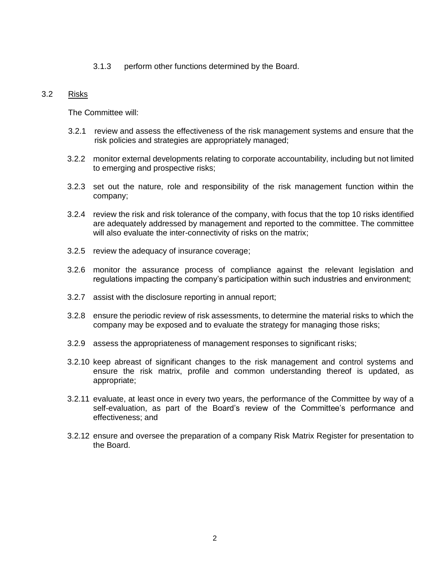3.1.3 perform other functions determined by the Board.

## 3.2 Risks

The Committee will:

- 3.2.1 review and assess the effectiveness of the risk management systems and ensure that the risk policies and strategies are appropriately managed;
- 3.2.2 monitor external developments relating to corporate accountability, including but not limited to emerging and prospective risks;
- 3.2.3 set out the nature, role and responsibility of the risk management function within the company;
- 3.2.4 review the risk and risk tolerance of the company, with focus that the top 10 risks identified are adequately addressed by management and reported to the committee. The committee will also evaluate the inter-connectivity of risks on the matrix;
- 3.2.5 review the adequacy of insurance coverage;
- 3.2.6 monitor the assurance process of compliance against the relevant legislation and regulations impacting the company's participation within such industries and environment;
- 3.2.7 assist with the disclosure reporting in annual report;
- 3.2.8 ensure the periodic review of risk assessments, to determine the material risks to which the company may be exposed and to evaluate the strategy for managing those risks;
- 3.2.9 assess the appropriateness of management responses to significant risks;
- 3.2.10 keep abreast of significant changes to the risk management and control systems and ensure the risk matrix, profile and common understanding thereof is updated, as appropriate;
- 3.2.11 evaluate, at least once in every two years, the performance of the Committee by way of a self-evaluation, as part of the Board's review of the Committee's performance and effectiveness; and
- 3.2.12 ensure and oversee the preparation of a company Risk Matrix Register for presentation to the Board.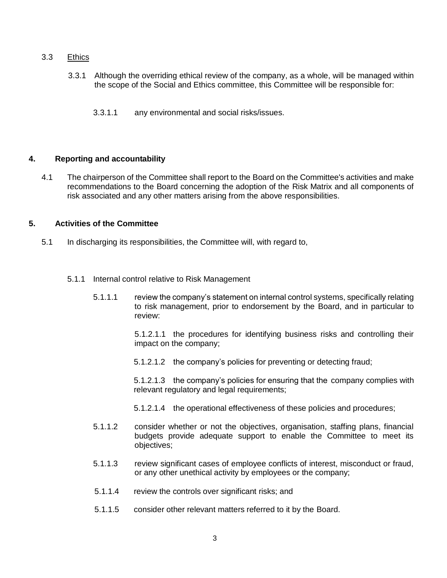# 3.3 Ethics

- 3.3.1 Although the overriding ethical review of the company, as a whole, will be managed within the scope of the Social and Ethics committee, this Committee will be responsible for:
	- 3.3.1.1 any environmental and social risks/issues.

#### **4. Reporting and accountability**

4.1 The chairperson of the Committee shall report to the Board on the Committee's activities and make recommendations to the Board concerning the adoption of the Risk Matrix and all components of risk associated and any other matters arising from the above responsibilities.

# **5. Activities of the Committee**

- 5.1 In discharging its responsibilities, the Committee will, with regard to,
	- 5.1.1 Internal control relative to Risk Management
		- 5.1.1.1 review the company's statement on internal control systems, specifically relating to risk management, prior to endorsement by the Board, and in particular to review:

5.1.2.1.1 the procedures for identifying business risks and controlling their impact on the company;

5.1.2.1.2 the company's policies for preventing or detecting fraud;

5.1.2.1.3 the company's policies for ensuring that the company complies with relevant regulatory and legal requirements;

- 5.1.2.1.4 the operational effectiveness of these policies and procedures;
- 5.1.1.2 consider whether or not the objectives, organisation, staffing plans, financial budgets provide adequate support to enable the Committee to meet its objectives;
- 5.1.1.3 review significant cases of employee conflicts of interest, misconduct or fraud, or any other unethical activity by employees or the company;
- 5.1.1.4 review the controls over significant risks; and
- 5.1.1.5 consider other relevant matters referred to it by the Board.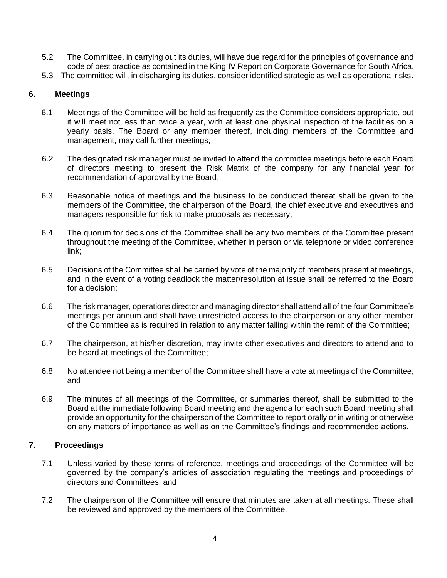- 5.2 The Committee, in carrying out its duties, will have due regard for the principles of governance and code of best practice as contained in the King IV Report on Corporate Governance for South Africa.
- 5.3 The committee will, in discharging its duties, consider identified strategic as well as operational risks.

## **6. Meetings**

- 6.1 Meetings of the Committee will be held as frequently as the Committee considers appropriate, but it will meet not less than twice a year, with at least one physical inspection of the facilities on a yearly basis. The Board or any member thereof, including members of the Committee and management, may call further meetings;
- 6.2 The designated risk manager must be invited to attend the committee meetings before each Board of directors meeting to present the Risk Matrix of the company for any financial year for recommendation of approval by the Board;
- 6.3 Reasonable notice of meetings and the business to be conducted thereat shall be given to the members of the Committee, the chairperson of the Board, the chief executive and executives and managers responsible for risk to make proposals as necessary;
- 6.4 The quorum for decisions of the Committee shall be any two members of the Committee present throughout the meeting of the Committee, whether in person or via telephone or video conference link;
- 6.5 Decisions of the Committee shall be carried by vote of the majority of members present at meetings, and in the event of a voting deadlock the matter/resolution at issue shall be referred to the Board for a decision;
- 6.6 The risk manager, operations director and managing director shall attend all of the four Committee's meetings per annum and shall have unrestricted access to the chairperson or any other member of the Committee as is required in relation to any matter falling within the remit of the Committee;
- 6.7 The chairperson, at his/her discretion, may invite other executives and directors to attend and to be heard at meetings of the Committee;
- 6.8 No attendee not being a member of the Committee shall have a vote at meetings of the Committee; and
- 6.9 The minutes of all meetings of the Committee, or summaries thereof, shall be submitted to the Board at the immediate following Board meeting and the agenda for each such Board meeting shall provide an opportunity for the chairperson of the Committee to report orally or in writing or otherwise on any matters of importance as well as on the Committee's findings and recommended actions.

## **7. Proceedings**

- 7.1 Unless varied by these terms of reference, meetings and proceedings of the Committee will be governed by the company's articles of association regulating the meetings and proceedings of directors and Committees; and
- 7.2 The chairperson of the Committee will ensure that minutes are taken at all meetings. These shall be reviewed and approved by the members of the Committee.